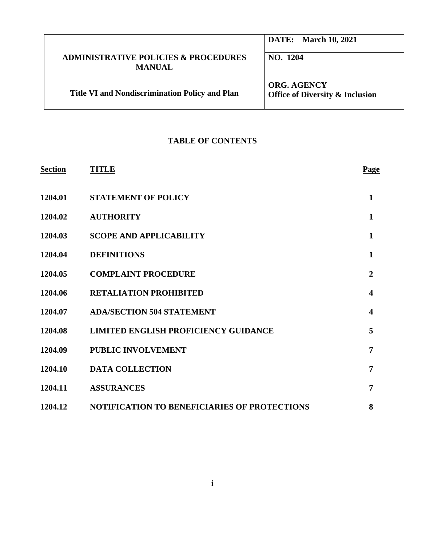|                                                                  | <b>DATE:</b> March 10, 2021                                      |
|------------------------------------------------------------------|------------------------------------------------------------------|
| <b>ADMINISTRATIVE POLICIES &amp; PROCEDURES</b><br><b>MANUAL</b> | NO. 1204                                                         |
| <b>Title VI and Nondiscrimination Policy and Plan</b>            | <b>ORG. AGENCY</b><br><b>Office of Diversity &amp; Inclusion</b> |

# **TABLE OF CONTENTS**

| <b>Section</b> | <b>TITLE</b>                                        | <b>Page</b>             |
|----------------|-----------------------------------------------------|-------------------------|
| 1204.01        | <b>STATEMENT OF POLICY</b>                          | $\mathbf{1}$            |
| 1204.02        | <b>AUTHORITY</b>                                    | $\mathbf{1}$            |
| 1204.03        | <b>SCOPE AND APPLICABILITY</b>                      | $\mathbf{1}$            |
| 1204.04        | <b>DEFINITIONS</b>                                  | $\mathbf{1}$            |
| 1204.05        | <b>COMPLAINT PROCEDURE</b>                          | $\overline{2}$          |
| 1204.06        | <b>RETALIATION PROHIBITED</b>                       | $\overline{\mathbf{4}}$ |
| 1204.07        | <b>ADA/SECTION 504 STATEMENT</b>                    | $\overline{\mathbf{4}}$ |
| 1204.08        | <b>LIMITED ENGLISH PROFICIENCY GUIDANCE</b>         | 5                       |
| 1204.09        | <b>PUBLIC INVOLVEMENT</b>                           | 7                       |
| 1204.10        | <b>DATA COLLECTION</b>                              | $\overline{7}$          |
| 1204.11        | <b>ASSURANCES</b>                                   | 7                       |
| 1204.12        | <b>NOTIFICATION TO BENEFICIARIES OF PROTECTIONS</b> | 8                       |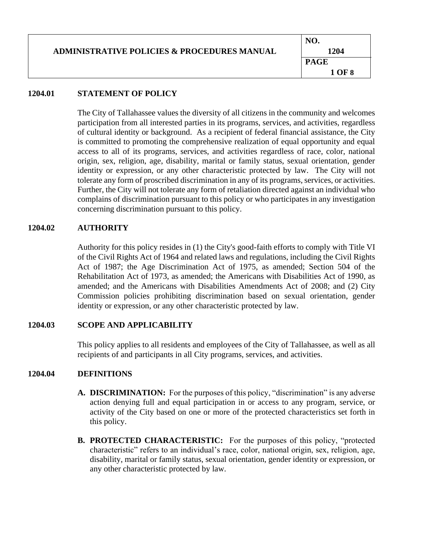|                                                        | NO.         |
|--------------------------------------------------------|-------------|
| <b>ADMINISTRATIVE POLICIES &amp; PROCEDURES MANUAL</b> | 1204        |
|                                                        | <b>PAGE</b> |
|                                                        | 1 OF 8      |

## **1204.01 STATEMENT OF POLICY**

The City of Tallahassee values the diversity of all citizens in the community and welcomes participation from all interested parties in its programs, services, and activities, regardless of cultural identity or background. As a recipient of federal financial assistance, the City is committed to promoting the comprehensive realization of equal opportunity and equal access to all of its programs, services, and activities regardless of race, color, national origin, sex, religion, age, disability, marital or family status, sexual orientation, gender identity or expression, or any other characteristic protected by law. The City will not tolerate any form of proscribed discrimination in any of its programs, services, or activities. Further, the City will not tolerate any form of retaliation directed against an individual who complains of discrimination pursuant to this policy or who participates in any investigation concerning discrimination pursuant to this policy.

# **1204.02 AUTHORITY**

Authority for this policy resides in (1) the City's good-faith efforts to comply with Title VI of the Civil Rights Act of 1964 and related laws and regulations, including the Civil Rights Act of 1987; the Age Discrimination Act of 1975, as amended; Section 504 of the Rehabilitation Act of 1973, as amended; the Americans with Disabilities Act of 1990, as amended; and the Americans with Disabilities Amendments Act of 2008; and (2) City Commission policies prohibiting discrimination based on sexual orientation, gender identity or expression, or any other characteristic protected by law.

### **1204.03 SCOPE AND APPLICABILITY**

This policy applies to all residents and employees of the City of Tallahassee, as well as all recipients of and participants in all City programs, services, and activities.

# **1204.04 DEFINITIONS**

- **A. DISCRIMINATION:** For the purposes of this policy, "discrimination" is any adverse action denying full and equal participation in or access to any program, service, or activity of the City based on one or more of the protected characteristics set forth in this policy.
- **B. PROTECTED CHARACTERISTIC:** For the purposes of this policy, "protected characteristic" refers to an individual's race, color, national origin, sex, religion, age, disability, marital or family status, sexual orientation, gender identity or expression, or any other characteristic protected by law.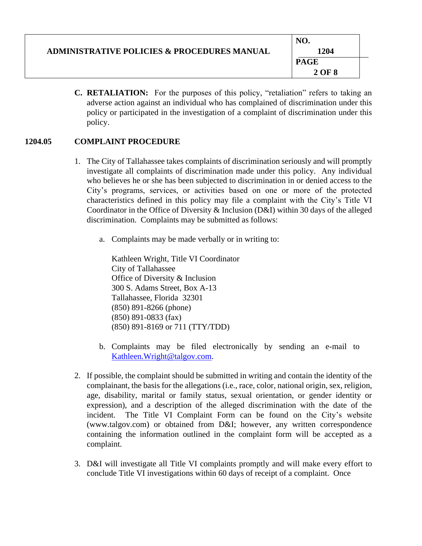| <b>ADMINISTRATIVE POLICIES &amp; PROCEDURES MANUAL</b> | 1204        |  |
|--------------------------------------------------------|-------------|--|
|                                                        | <b>PAGE</b> |  |
|                                                        | 2 OF 8      |  |

**C. RETALIATION:** For the purposes of this policy, "retaliation" refers to taking an adverse action against an individual who has complained of discrimination under this policy or participated in the investigation of a complaint of discrimination under this policy.

# **1204.05 COMPLAINT PROCEDURE**

- 1. The City of Tallahassee takes complaints of discrimination seriously and will promptly investigate all complaints of discrimination made under this policy. Any individual who believes he or she has been subjected to discrimination in or denied access to the City's programs, services, or activities based on one or more of the protected characteristics defined in this policy may file a complaint with the City's Title VI Coordinator in the Office of Diversity & Inclusion (D&I) within 30 days of the alleged discrimination. Complaints may be submitted as follows:
	- a. Complaints may be made verbally or in writing to:

Kathleen Wright, Title VI Coordinator City of Tallahassee Office of Diversity & Inclusion 300 S. Adams Street, Box A-13 Tallahassee, Florida 32301 (850) 891-8266 (phone) (850) 891-0833 (fax) (850) 891-8169 or 711 (TTY/TDD)

- b. Complaints may be filed electronically by sending an e-mail to [Kathleen.Wright@talgov.com.](mailto:Kathleen.Wright@talgov.com)
- 2. If possible, the complaint should be submitted in writing and contain the identity of the complainant, the basis for the allegations (i.e., race, color, national origin, sex, religion, age, disability, marital or family status, sexual orientation, or gender identity or expression), and a description of the alleged discrimination with the date of the incident. The Title VI Complaint Form can be found on the City's website (www.talgov.com) or obtained from D&I; however, any written correspondence containing the information outlined in the complaint form will be accepted as a complaint.
- 3. D&I will investigate all Title VI complaints promptly and will make every effort to conclude Title VI investigations within 60 days of receipt of a complaint. Once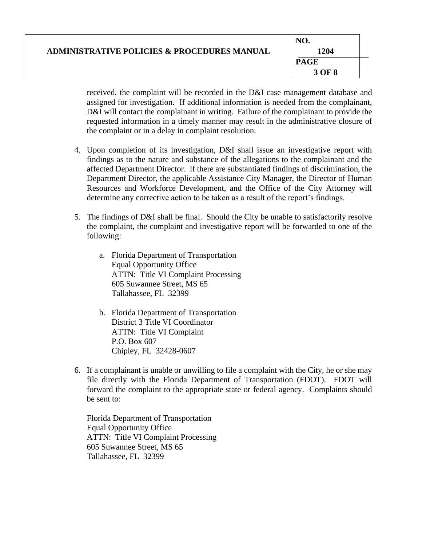|                                                        | NO.         |
|--------------------------------------------------------|-------------|
| <b>ADMINISTRATIVE POLICIES &amp; PROCEDURES MANUAL</b> | 1204        |
|                                                        | <b>PAGE</b> |
|                                                        | 3 OF 8      |

received, the complaint will be recorded in the D&I case management database and assigned for investigation. If additional information is needed from the complainant, D&I will contact the complainant in writing. Failure of the complainant to provide the requested information in a timely manner may result in the administrative closure of the complaint or in a delay in complaint resolution.

- 4. Upon completion of its investigation, D&I shall issue an investigative report with findings as to the nature and substance of the allegations to the complainant and the affected Department Director. If there are substantiated findings of discrimination, the Department Director, the applicable Assistance City Manager, the Director of Human Resources and Workforce Development, and the Office of the City Attorney will determine any corrective action to be taken as a result of the report's findings.
- 5. The findings of D&I shall be final. Should the City be unable to satisfactorily resolve the complaint, the complaint and investigative report will be forwarded to one of the following:
	- a. Florida Department of Transportation Equal Opportunity Office ATTN: Title VI Complaint Processing 605 Suwannee Street, MS 65 Tallahassee, FL 32399
	- b. Florida Department of Transportation District 3 Title VI Coordinator ATTN: Title VI Complaint P.O. Box 607 Chipley, FL 32428-0607
- 6. If a complainant is unable or unwilling to file a complaint with the City, he or she may file directly with the Florida Department of Transportation (FDOT). FDOT will forward the complaint to the appropriate state or federal agency. Complaints should be sent to:

Florida Department of Transportation Equal Opportunity Office ATTN: Title VI Complaint Processing 605 Suwannee Street, MS 65 Tallahassee, FL 32399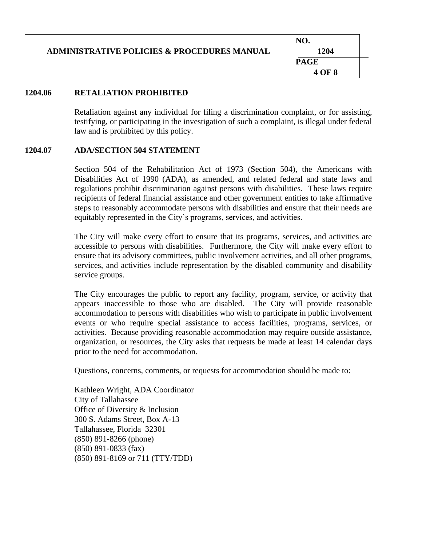| <b>ADMINISTRATIVE POLICIES &amp; PROCEDURES MANUAL</b> | NO.<br>1204 |  |
|--------------------------------------------------------|-------------|--|
|                                                        | <b>PAGE</b> |  |
|                                                        | 4 OF 8      |  |

### **1204.06 RETALIATION PROHIBITED**

Retaliation against any individual for filing a discrimination complaint, or for assisting, testifying, or participating in the investigation of such a complaint, is illegal under federal law and is prohibited by this policy.

#### **1204.07 ADA/SECTION 504 STATEMENT**

Section 504 of the Rehabilitation Act of 1973 (Section 504), the Americans with Disabilities Act of 1990 (ADA), as amended, and related federal and state laws and regulations prohibit discrimination against persons with disabilities. These laws require recipients of federal financial assistance and other government entities to take affirmative steps to reasonably accommodate persons with disabilities and ensure that their needs are equitably represented in the City's programs, services, and activities.

The City will make every effort to ensure that its programs, services, and activities are accessible to persons with disabilities. Furthermore, the City will make every effort to ensure that its advisory committees, public involvement activities, and all other programs, services, and activities include representation by the disabled community and disability service groups.

The City encourages the public to report any facility, program, service, or activity that appears inaccessible to those who are disabled. The City will provide reasonable accommodation to persons with disabilities who wish to participate in public involvement events or who require special assistance to access facilities, programs, services, or activities. Because providing reasonable accommodation may require outside assistance, organization, or resources, the City asks that requests be made at least 14 calendar days prior to the need for accommodation.

Questions, concerns, comments, or requests for accommodation should be made to:

Kathleen Wright, ADA Coordinator City of Tallahassee Office of Diversity & Inclusion 300 S. Adams Street, Box A-13 Tallahassee, Florida 32301 (850) 891-8266 (phone) (850) 891-0833 (fax) (850) 891-8169 or 711 (TTY/TDD)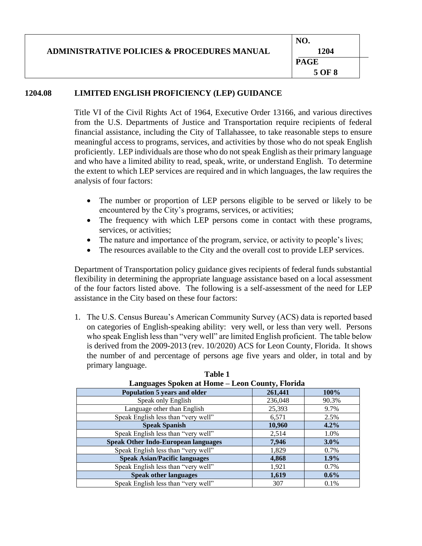|                                                        | NO.         |
|--------------------------------------------------------|-------------|
| <b>ADMINISTRATIVE POLICIES &amp; PROCEDURES MANUAL</b> | 1204        |
|                                                        | <b>PAGE</b> |
|                                                        | 5 OF 8      |

# **1204.08 LIMITED ENGLISH PROFICIENCY (LEP) GUIDANCE**

Title VI of the Civil Rights Act of 1964, Executive Order 13166, and various directives from the U.S. Departments of Justice and Transportation require recipients of federal financial assistance, including the City of Tallahassee, to take reasonable steps to ensure meaningful access to programs, services, and activities by those who do not speak English proficiently. LEP individuals are those who do not speak English as their primary language and who have a limited ability to read, speak, write, or understand English. To determine the extent to which LEP services are required and in which languages, the law requires the analysis of four factors:

- The number or proportion of LEP persons eligible to be served or likely to be encountered by the City's programs, services, or activities;
- The frequency with which LEP persons come in contact with these programs, services, or activities;
- The nature and importance of the program, service, or activity to people's lives;
- The resources available to the City and the overall cost to provide LEP services.

Department of Transportation policy guidance gives recipients of federal funds substantial flexibility in determining the appropriate language assistance based on a local assessment of the four factors listed above. The following is a self-assessment of the need for LEP assistance in the City based on these four factors:

1. The U.S. Census Bureau's American Community Survey (ACS) data is reported based on categories of English-speaking ability: very well, or less than very well. Persons who speak English less than "very well" are limited English proficient. The table below is derived from the 2009-2013 (rev. 10/2020) ACS for Leon County, Florida. It shows the number of and percentage of persons age five years and older, in total and by primary language.

| Languages Spoken at Home – Leon County, Florida |         |         |  |
|-------------------------------------------------|---------|---------|--|
| Population 5 years and older                    | 261,441 | 100%    |  |
| Speak only English                              | 236,048 | 90.3%   |  |
| Language other than English                     | 25,393  | 9.7%    |  |
| Speak English less than "very well"             | 6,571   | 2.5%    |  |
| <b>Speak Spanish</b>                            | 10,960  | 4.2%    |  |
| Speak English less than "very well"             | 2,514   | 1.0%    |  |
| <b>Speak Other Indo-European languages</b>      | 7,946   | $3.0\%$ |  |
| Speak English less than "very well"             | 1,829   | 0.7%    |  |
| <b>Speak Asian/Pacific languages</b>            | 4,868   | $1.9\%$ |  |
| Speak English less than "very well"             | 1,921   | 0.7%    |  |
| <b>Speak other languages</b>                    | 1,619   | $0.6\%$ |  |
| Speak English less than "very well"             | 307     | 0.1%    |  |

|  | <b>Table 1</b>                                  |
|--|-------------------------------------------------|
|  | Languages Spoken at Home – Leon County, Florida |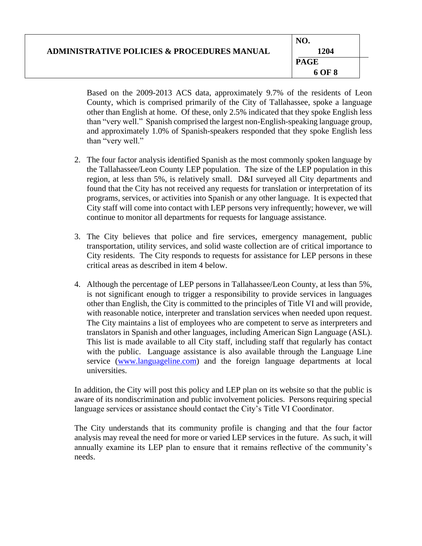| <b>ADMINISTRATIVE POLICIES &amp; PROCEDURES MANUAL</b> | 1204        |  |
|--------------------------------------------------------|-------------|--|
|                                                        | <b>PAGE</b> |  |
|                                                        | 6 OF 8      |  |

Based on the 2009-2013 ACS data, approximately 9.7% of the residents of Leon County, which is comprised primarily of the City of Tallahassee, spoke a language other than English at home. Of these, only 2.5% indicated that they spoke English less than "very well." Spanish comprised the largest non-English-speaking language group, and approximately 1.0% of Spanish-speakers responded that they spoke English less than "very well."

- 2. The four factor analysis identified Spanish as the most commonly spoken language by the Tallahassee/Leon County LEP population. The size of the LEP population in this region, at less than 5%, is relatively small. D&I surveyed all City departments and found that the City has not received any requests for translation or interpretation of its programs, services, or activities into Spanish or any other language. It is expected that City staff will come into contact with LEP persons very infrequently; however, we will continue to monitor all departments for requests for language assistance.
- 3. The City believes that police and fire services, emergency management, public transportation, utility services, and solid waste collection are of critical importance to City residents. The City responds to requests for assistance for LEP persons in these critical areas as described in item 4 below.
- 4. Although the percentage of LEP persons in Tallahassee/Leon County, at less than 5%, is not significant enough to trigger a responsibility to provide services in languages other than English, the City is committed to the principles of Title VI and will provide, with reasonable notice, interpreter and translation services when needed upon request. The City maintains a list of employees who are competent to serve as interpreters and translators in Spanish and other languages, including American Sign Language (ASL). This list is made available to all City staff, including staff that regularly has contact with the public. Language assistance is also available through the Language Line service [\(www.languageline.com\)](http://www.languageline.com/) and the foreign language departments at local universities.

In addition, the City will post this policy and LEP plan on its website so that the public is aware of its nondiscrimination and public involvement policies. Persons requiring special language services or assistance should contact the City's Title VI Coordinator.

The City understands that its community profile is changing and that the four factor analysis may reveal the need for more or varied LEP services in the future. As such, it will annually examine its LEP plan to ensure that it remains reflective of the community's needs.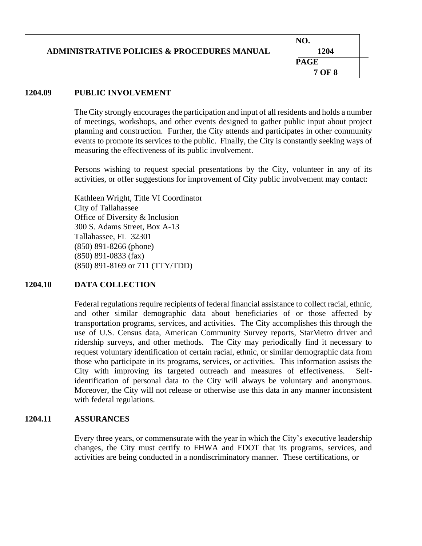|                                                        | NO.         |
|--------------------------------------------------------|-------------|
| <b>ADMINISTRATIVE POLICIES &amp; PROCEDURES MANUAL</b> | 1204        |
|                                                        | <b>PAGE</b> |
|                                                        | 7 OF 8      |

### **1204.09 PUBLIC INVOLVEMENT**

The City strongly encourages the participation and input of all residents and holds a number of meetings, workshops, and other events designed to gather public input about project planning and construction. Further, the City attends and participates in other community events to promote its services to the public. Finally, the City is constantly seeking ways of measuring the effectiveness of its public involvement.

Persons wishing to request special presentations by the City, volunteer in any of its activities, or offer suggestions for improvement of City public involvement may contact:

Kathleen Wright, Title VI Coordinator City of Tallahassee Office of Diversity & Inclusion 300 S. Adams Street, Box A-13 Tallahassee, FL 32301 (850) 891-8266 (phone) (850) 891-0833 (fax) (850) 891-8169 or 711 (TTY/TDD)

### **1204.10 DATA COLLECTION**

Federal regulations require recipients of federal financial assistance to collect racial, ethnic, and other similar demographic data about beneficiaries of or those affected by transportation programs, services, and activities. The City accomplishes this through the use of U.S. Census data, American Community Survey reports, StarMetro driver and ridership surveys, and other methods. The City may periodically find it necessary to request voluntary identification of certain racial, ethnic, or similar demographic data from those who participate in its programs, services, or activities. This information assists the City with improving its targeted outreach and measures of effectiveness. Selfidentification of personal data to the City will always be voluntary and anonymous. Moreover, the City will not release or otherwise use this data in any manner inconsistent with federal regulations.

### **1204.11 ASSURANCES**

Every three years, or commensurate with the year in which the City's executive leadership changes, the City must certify to FHWA and FDOT that its programs, services, and activities are being conducted in a nondiscriminatory manner. These certifications, or